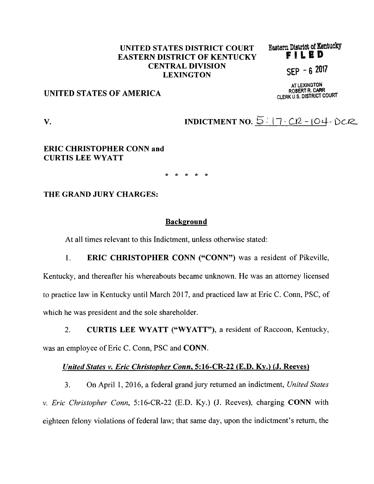# UNITED STATES DISTRICT COURT<br>EASTEDN DISTRICT OF KENTUCKY **EASTERN DISTRICT OF KENTUCKY** CENTRAL DIVISION SEP - 6 2017 LEXINGTON

AT LEXINGTON<br>ROBERT R. CARR

# ROBERT R. CARR U.S. DISTRICT COURT DISTRICT COURT AND THE DISTRICT COURT

**V.** INDICTMENT NO.  $5: 17 - C12 - 104 - D212$ 

## **ERIC CHRISTOPHER CONN and CURTIS LEE WYATT**

\* \* \* \* \*

### **THE GRAND JURY CHARGES:**

#### **Background**

At all times relevant to this Indictment, unless otherwise stated:

1. **ERIC CHRISTOPHER CONN ("CONN")** was a resident of Pikeville, Kentucky, and thereafter his whereabouts became unknown. He was an attorney licensed to practice law in Kentucky until March 2017, and practiced law at Eric C. Conn, PSC, of which he was president and the sole shareholder.

2. **CURTIS LEE WYATT ("WYATT"),** a resident of Raccoon, Kentucky, was an employee of Eric C. Conn, PSC and **CONN.** 

### *United States v. Eric Christopher Conn,* **5:16-CR-22 (E.D. Ky.)** *(J.* **Reeves)**

3. On April 1, 2016, a federal grand jury returned an indictment, *United States v. Eric Christopher Conn,* 5:16-CR-22 (E.D. Ky.) (J. Reeves), charging **CONN** with eighteen felony violations of federal law; that same day, upon the indictment's return, the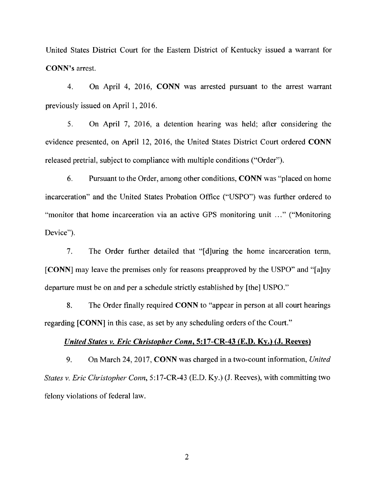United States District Court for the Eastern District of Kentucky issued a warrant for **CONN's** arrest.

4. On April 4, 2016, **CONN** was arrested pursuant to the arrest warrant previously issued on April 1, 2016.

5. On April 7, 2016, a detention hearing was held; after considering the evidence presented, on April 12, 2016, the United States District Court ordered **CONN**  released pretrial, subject to compliance with multiple conditions ("Order").

6. Pursuant to the Order, among other conditions, **CONN** was "placed on home incarceration" and the United States Probation Office ("USPO") was further ordered to "monitor that home incarceration via an active GPS monitoring unit ... " ("Monitoring Device").

7. The Order further detailed that "[d]uring the home incarceration term, **[CONN]** may leave the premises only for reasons preapproved by the USPO" and "[a]ny departure must be on and per a schedule strictly established by [the] USPO."

8. The Order finally required **CONN** to "appear in person at all court hearings regarding **[CONN]** in this case, as set by any scheduling orders of the Court."

### *United States v. Eric Christopher Conn,* **5:17-CR-43 (E.D. Ky.)** *(J.* **Reeves)**

9. On March 24, 2017, **CONN** was charged in a two-count information, *United States v. Eric Christopher Conn,* 5:17-CR-43 (E.D. Ky.) (J. Reeves), with committing two felony violations of federal law.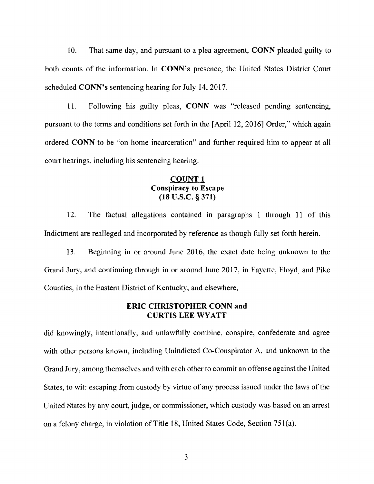10. That same day, and pursuant to a plea agreement, **CONN** pleaded guilty to both counts of the information. In **CONN's** presence, the United States District Court scheduled **CONN's** sentencing hearing for July 14, 2017.

11. Following his guilty pleas, **CONN** was "released pending sentencing, pursuant to the terms and conditions set forth in the [April 12, 2016] Order," which again ordered **CONN** to be "on home incarceration" and further required him to appear at all court hearings, including his sentencing hearing.

## **COUNT 1 Conspiracy to Escape (18 u.s.c.** § **371)**

12. The factual allegations contained in paragraphs 1 through 11 of this Indictment are realleged and incorporated by reference as though fully set forth herein.

13. Beginning in or around June 2016, the exact date being unknown to the Grand Jury, and continuing through in or around June 2017, in Fayette, Floyd, and Pike Counties, in the Eastern District of Kentucky, and elsewhere,

## **ERIC CHRISTOPHER CONN and CURTIS LEE WYATT**

did knowingly, intentionally, and unlawfully combine, conspire, confederate and agree with other persons known, including Unindicted Co-Conspirator A, and unknown to the Grand Jury, among themselves and with each other to commit an offense against the United States, to wit: escaping from custody by virtue of any process issued under the laws of the United States by any court, judge, or commissioner, which custody was based on an arrest on a felony charge, in violation of Title 18, United States Code, Section 75 l(a).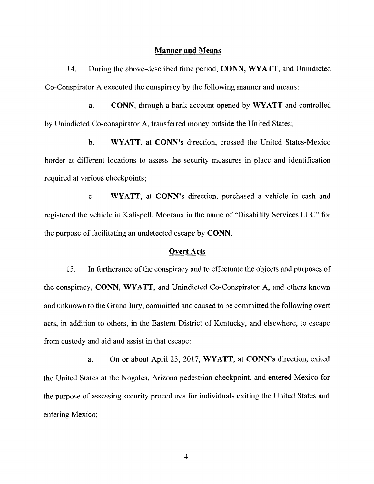### **Manner and Means**

14. During the above-described time period, **CONN, WYATT,** and Unindicted Co-Conspirator A executed the conspiracy by the following manner and means:

a. **CONN,** through a bank account opened by **WYATT** and controlled by Unindicted Co-conspirator A, transferred money outside the United States;

b. **WYATT,** at **CONN's** direction, crossed the United States-Mexico border at different locations to assess the security measures in place and identification required at various checkpoints;

c. **WYATT,** at **CONN's** direction, purchased a vehicle in cash and registered the vehicle in Kalispell, Montana in the name of "Disability Services LLC" for the purpose of facilitating an undetected escape by **CONN.** 

#### **Overt Acts**

15. In furtherance of the conspiracy and to effectuate the objects and purposes of the conspiracy, **CONN, WYATT,** and Unindicted Co-Conspirator A, and others known and unknown to the Grand Jury, committed and caused to be committed the following overt acts, in addition to others, in the Eastern District of Kentucky, and elsewhere, to escape from custody and aid and assist in that escape:

a. On or about April 23, 2017, **WYATT,** at **CONN's** direction, exited the United States at the Nogales, Arizona pedestrian checkpoint, and entered Mexico for the purpose of assessing security procedures for individuals exiting the United States and entering Mexico;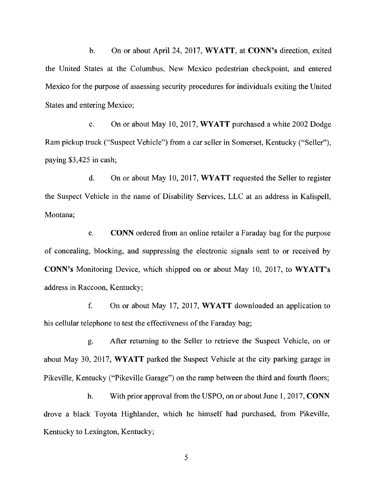b. On or about April 24, 2017, **WYATT, at CONN's** direction, exited the United States at the Columbus, New Mexico pedestrian checkpoint, and entered Mexico for the purpose of assessing security procedures for individuals exiting the United States and entering Mexico;

c. On or about May 10, 2017, **WYATT** purchased a white 2002 Dodge Ram pickup truck ("Suspect Vehicle") from a car seller in Somerset, Kentucky ("Seller"), paying \$3,425 in cash;

d. On or about May 10, 2017, **WYATT** requested the Seller to register the Suspect Vehicle in the name of Disability Services, LLC at an address in Kalispell, Montana;

e. **CONN** ordered from an online retailer a Faraday bag for the purpose of concealing, blocking, and suppressing the electronic signals sent to or received by **CONN's** Monitoring Device, which shipped on or about May 10, 2017, to **WYATT's**  address in Raccoon, Kentucky;

f. On or about May 17, 2017, **WYATT** downloaded an application to his cellular telephone to test the effectiveness of the Faraday bag;

g. After returning to the Seller to retrieve the Suspect Vehicle, on or about May 30, 2017, **WYATT** parked the Suspect Vehicle at the city parking garage in Pikeville, Kentucky ("Pikeville Garage") on the ramp between the third and fourth floors;

h. With prior approval from the USPO, on or about June **1,** 2017, **CONN**  drove a black Toyota Highlander, which he himself had purchased, from Pikeville, Kentucky to Lexington, Kentucky;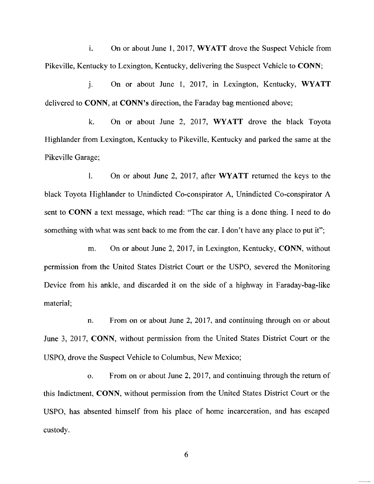i. On or about June 1, 2017, **WYATT** drove the Suspect Vehicle from Pikeville, Kentucky to Lexington, Kentucky, delivering the Suspect Vehicle to **CONN;** 

J. On or about June 1, 2017, in Lexington, Kentucky, **WYATT**  delivered to **CONN, at CONN's** direction, the Faraday bag mentioned above;

k. On or about June 2, 2017, **WYATT** drove the black Toyota Highlander from Lexington, Kentucky to Pikeville, Kentucky and parked the same at the Pikeville Garage;

I. On or about June 2, 2017, after **WYATT** returned the keys to the black Toyota Highlander to Unindicted Co-conspirator A, Unindicted Co-conspirator A sent to **CONN** a text message, which read: "The car thing is a done thing. I need to do something with what was sent back to me from the car. I don't have any place to put it";

m. On or about June 2, 2017, in Lexington, Kentucky, **CONN,** without permission from the United States District Court or the USPO, severed the Monitoring Device from his ankle, and discarded it on the side of a highway in Faraday-bag-like material;

n. From on or about June 2, 2017, and continuing through on or about June 3, 2017, **CONN,** without permission from the United States District Court or the USPO, drove the Suspect Vehicle to Columbus, New Mexico;

o. From on or about June 2, 2017, and continuing through the return of this Indictment, **CONN,** without permission from the United States District Court or the USPO, has absented himself from his place of home incarceration, and has escaped custody.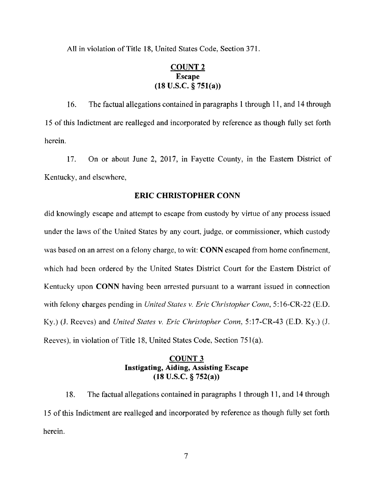All in violation of Title 18, United States Code, Section 371.

# **COUNT2 Escape (18 U.S.C. § 751(a))**

16. The factual allegations contained in paragraphs **1**through 11, and 14 through 15 of this Indictment are realleged and incorporated by reference as though fully set forth herein.

17. On or about June 2, 2017, in Fayette County, in the Eastern District of Kentucky, and elsewhere,

# **ERIC CHRISTOPHER CONN**

did knowingly escape and attempt to escape from custody by virtue of any process issued under the laws of the United States by any court, judge, or commissioner, which custody was based on an arrest on a felony charge, to wit: **CONN** escaped from home confinement, which had been ordered by the United States District Court for the Eastern District of Kentucky upon **CONN** having been arrested pursuant to a warrant issued in connection with felony charges pending in *United States v. Eric Christopher Conn,* 5:16-CR-22 (E.D. Ky.) (J. Reeves) and *United States v. Eric Christopher Conn,* 5:17-CR-43 (E.D. Ky.) (J. Reeves), in violation of Title 18, United States Code, Section 751(a).

# **COUNT3 Instigating, Aiding, Assisting Escape (18 U.S.C. § 752(a))**

18. The factual allegations contained in paragraphs 1 through 11, and **14** through 15 of this Indictment are realleged and incorporated by reference as though fully set forth herein.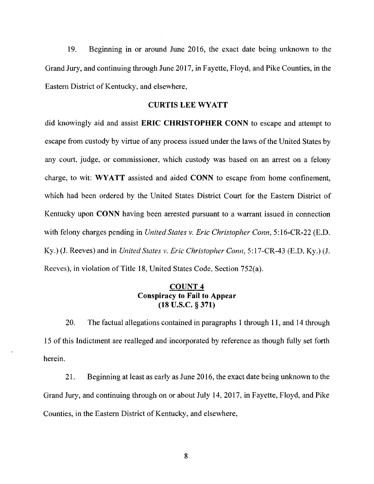19. Beginning in or around June 2016, the exact date being unknown to the Grand Jury, and continuing through June 2017, in Fayette, Floyd, and Pike Counties, in the Eastern District of Kentucky, and elsewhere,

### **CURTIS LEE WYATT**

did knowingly aid and assist **ERIC CHRISTOPHER CONN** to escape and attempt to escape from custody by virtue of any process issued under the laws of the United States by any court, judge, or commissioner, which custody was based on an arrest on a felony charge, to wit: **WYATT** assisted and aided **CONN** to escape from home confinement, which had been ordered by the United States District Court for the Eastern District of Kentucky upon **CONN** having been arrested pursuant to a warrant issued in connection with felony charges pending in *United States v. Eric Christopher Conn,* 5:16-CR-22 (E.D. Ky.) (J. Reeves) and in *United States v. Eric Christopher Conn*, 5:17-CR-43 (E.D. Ky.) (J. Reeves), in violation of Title 18, United States Code, Section 752(a).

# **COUNT4 Conspiracy to Fail to Appear (18 u.s.c. § 371)**

20. The factual allegations contained in paragraphs 1 through **11,** and 14 through 15 of this Indictment are realleged and incorporated by reference as though fully set forth herein.

21. Beginning at least as early as June 2016, the exact date being unknown to the Grand Jury, and continuing through on or about July 14, 2017, in Fayette, Floyd, and Pike Counties, in the Eastern District of Kentucky, and elsewhere,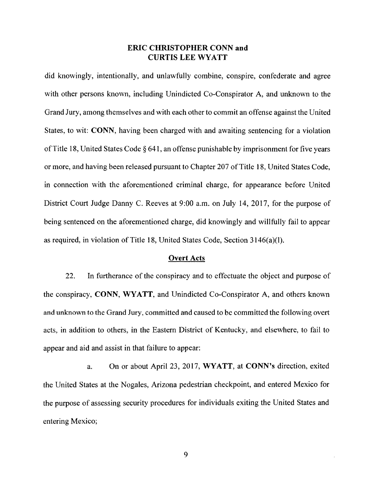## **ERIC CHRISTOPHER CONN and CURTIS LEE WYATT**

did knowingly, intentionally, and unlawfully combine, conspire, confederate and agree with other persons known, including Unindicted Co-Conspirator A, and unknown to the Grand Jury, among themselves and with each other to commit an offense against the United States, to wit: **CONN,** having been charged with and awaiting sentencing for a violation ofTitle 18, United States Code § 641, an offense punishable by imprisonment for five years or more, and having been released pursuant to Chapter 207 of Title 18, United States Code, in connection with the aforementioned criminal charge, for appearance before United District Court Judge Danny C. Reeves at 9:00 a.m. on July 14, 2017, for the purpose of being sentenced on the aforementioned charge, did knowingly and willfully fail to appear as required, in violation of Title 18, United States Code, Section 3146(a)(l).

#### **Overt Acts**

22. In furtherance of the conspiracy and to effectuate the object and purpose of the conspiracy, **CONN, WYATT,** and Unindicted Co-Conspirator A, and others known and unknown to the Grand Jury, committed and caused to be committed the following overt acts, in addition to others, in the Eastern District of Kentucky, and elsewhere, to fail to appear and aid and assist in that failure to appear:

a. On or about April 23, 2017, **WYATT,** at **CONN's** direction, exited the United States at the Nogales, Arizona pedestrian checkpoint, and entered Mexico for the purpose of assessing security procedures for individuals exiting the United States and entering Mexico;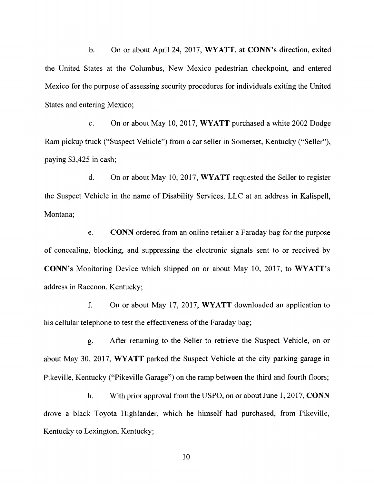b. On or about April 24, 2017, **WYATT,** at **CONN's** direction, exited the United States at the Columbus, New Mexico pedestrian checkpoint, and entered Mexico for the purpose of assessing security procedures for individuals exiting the United States and entering Mexico;

c. On or about May 10, 2017, **WYATT** purchased a white 2002 Dodge Ram pickup truck ("Suspect Vehicle") from a car seller in Somerset, Kentucky ("Seller"), paying \$3,425 in cash;

d. On or about May 10, 2017, **WYATT** requested the Seller to register the Suspect Vehicle in the name of Disability Services, LLC at an address in Kalispell, Montana;

e. **CONN** ordered from an online retailer a Faraday bag for the purpose of concealing, blocking, and suppressing the electronic signals sent to or received by **CONN's** Monitoring Device which shipped on or about May 10, 2017, to **WYATT's**  address in Raccoon, Kentucky;

f. On or about May 17, 2017, **WYATT** downloaded an application to his cellular telephone to test the effectiveness of the Faraday bag;

g. After returning to the Seller to retrieve the Suspect Vehicle, on or about May 30, 2017, **WYATT** parked the Suspect Vehicle at the city parking garage in Pikeville, Kentucky ("Pikeville Garage") on the ramp between the third and fourth floors;

h. With prior approval from the USPO, on or about June 1, 2017, **CONN**  drove a black Toyota Highlander, which he himself had purchased, from Pikeville, Kentucky to Lexington, Kentucky;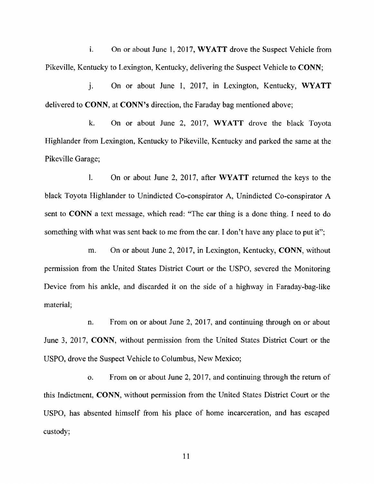i. On or about June 1, 2017, **WYATT** drove the Suspect Vehicle from Pikeville, Kentucky to Lexington, Kentucky, delivering the Suspect Vehicle to **CONN;** 

J. On or about June I, 2017, in Lexington, Kentucky, **WYATT**  delivered to **CONN,** at **CONN's** direction, the Faraday bag mentioned above;

k. On or about June 2, 2017, **WYATT** drove the black Toyota Highlander from Lexington, Kentucky to Pikeville, Kentucky and parked the same at the Pikeville Garage;

1. On or about June 2, 2017, after **WYATT** returned the keys to the black Toyota Highlander to Unindicted Co-conspirator A, Unindicted Co-conspirator A sent to **CONN** a text message, which read: "The car thing is a done thing. I need to do something with what was sent back to me from the car. I don't have any place to put it";

m. On or about June 2, 2017, in Lexington, Kentucky, **CONN,** without permission from the United States District Court or the USPO, severed the Monitoring Device from his ankle, and discarded it on the side of a highway in Faraday-bag-like material;

n. From on or about June 2, 2017, and continuing through on or about June 3, 2017, **CONN,** without permission from the United States District Court or the USPO, drove the Suspect Vehicle to Columbus, New Mexico;

o. From on or about June 2, 2017, and continuing through the return of this Indictment, **CONN,** without permission from the United States District Court or the USPO, has absented himself from his place of home incarceration, and has escaped custody;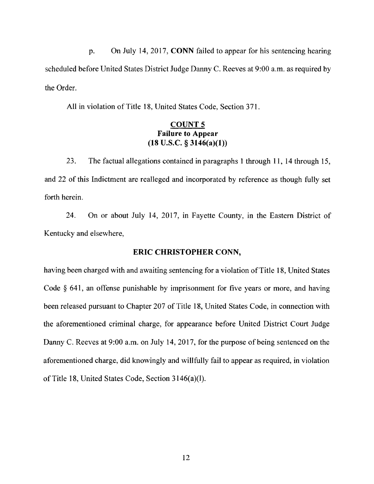p. On July 14, 2017, **CONN** failed to appear for his sentencing hearing scheduled before United States District Judge Danny C. Reeves at 9:00 a.m. as required by the Order.

All in violation of Title 18, United States Code, Section 371.

# **COUNTS Failure to Appear (18 U.S.C.** § **3146(a)(l))**

23. The factual allegations contained in paragraphs 1 through 11, 14 through 15, and 22 of this Indictment are realleged and incorporated by reference as though fully set forth herein.

24. On or about July 14, 2017, in Fayette County, in the Eastern District of Kentucky and elsewhere,

# **ERIC CHRISTOPHER CONN,**

having been charged with and awaiting sentencing for a violation of Title 18, United States Code  $\S$  641, an offense punishable by imprisonment for five years or more, and having been released pursuant to Chapter 207 of Title 18, United States Code, in connection with the aforementioned criminal charge, for appearance before United District Court Judge Danny C. Reeves at 9:00 a.m. on July 14, 2017, for the purpose of being sentenced on the aforementioned charge, did knowingly and willfully fail to appear as required, in violation ofTitle 18, United States Code, Section 3146(a)(l).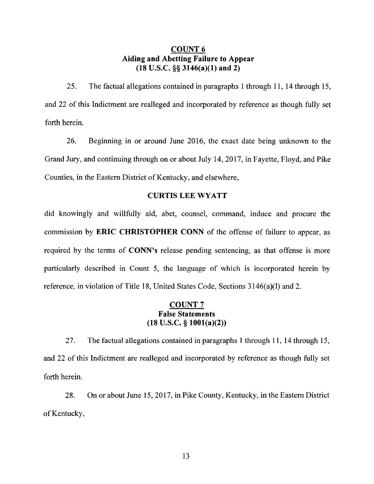# **COUNT6 Aiding and Abetting Failure to Appear (18 U.S.C.** §§ **3146(a)(l) and 2)**

25. The factual allegations contained in paragraphs I through 11, 14 through 15, and 22 of this Indictment are realleged and incorporated by reference as though fully set forth herein.

26. Beginning in or around June 2016, the exact date being unknown to the Grand Jury, and continuing through on or about July 14, 2017, in Fayette, Floyd, and Pike Counties, in the Eastern District of Kentucky, and elsewhere,

## **CURTIS LEE WYATT**

did knowingly and willfully aid, abet, counsel, command, induce and procure the commission by **ERIC CHRISTOPHER CONN** of the offense of failure to appear, as required by the terms of **CONN's** release pending sentencing, as that offense is more particularly described in Count 5, the language of which is incorporated herein by reference, in violation of Title 18, United States Code, Sections 3146(a)(l) and 2.

# **COUNT7 False Statements (18 U.S.C.** § **1001(a)(2))**

27. The factual allegations contained in paragraphs I through 11, 14 through 15, and 22 of this Indictment are realleged and incorporated by reference as though fully set forth herein.

28. On or about June 15, 2017, in Pike County, Kentucky, in the Eastern District of Kentucky,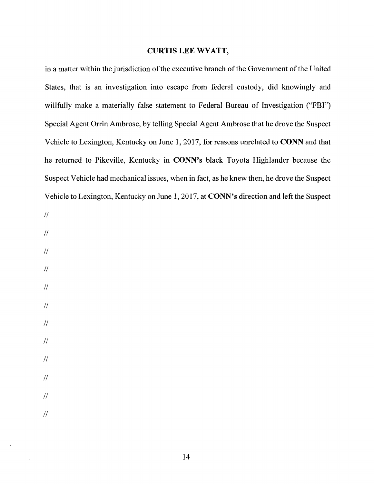### **CURTIS LEE WYATT,**

in a matter within the jurisdiction of the executive branch of the Government of the United States, that is an investigation into escape from federal custody, did knowingly and willfully make a materially false statement to Federal Bureau of Investigation ("FBI") Special Agent Orrin Ambrose, by telling Special Agent Ambrose that he drove the Suspect Vehicle to Lexington, Kentucky on June 1, 2017, for reasons unrelated to **CONN** and that he returned to Pikeville, Kentucky in **CONN's** black Toyota Highlander because the Suspect Vehicle had mechanical issues, when in fact, as he knew then, he drove the Suspect Vehicle to Lexington, Kentucky on June 1, 2017, at **CONN's** direction and left the Suspect

- $\bar{H}$
- $\mathcal{U}$
- $\mathcal{U}$  $\mathcal{U}$  $\mathcal{U}$  $\mathcal{U}$  $\mathcal{U}$  $\mathcal{U}$
- $\mathcal{U}$
- $\sqrt{2}$

 $\mathcal{U}$ 

 $\mathcal{U}$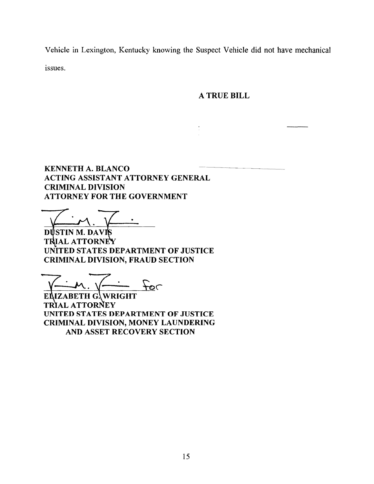Vehicle in Lexington, Kentucky knowing the Suspect Vehicle did not have mechanical issues.

**A TRUE BILL** 

**KENNETH A. BLANCO ACTING ASSISTANT ATTORNEY GENERAL CRIMINAL DIVISION ATTORNEY FOR THE GOVERNMENT** 

DŲSTINM. DAVI **T IALATTORN UNITED STATES DEPARTMENT OF JUSTICE CRIMINAL DIVISION, FRAUD SECTION** 

 $F_{\mathcal{O}}$ 

**IZABETH G. WRIGHT**  EI **TRIAL ATTORNEY UNITED STATES DEPARTMENT OF JUSTICE CRIMINAL DIVISION, MONEY LAUNDERING AND ASSET RECOVERY SECTION**